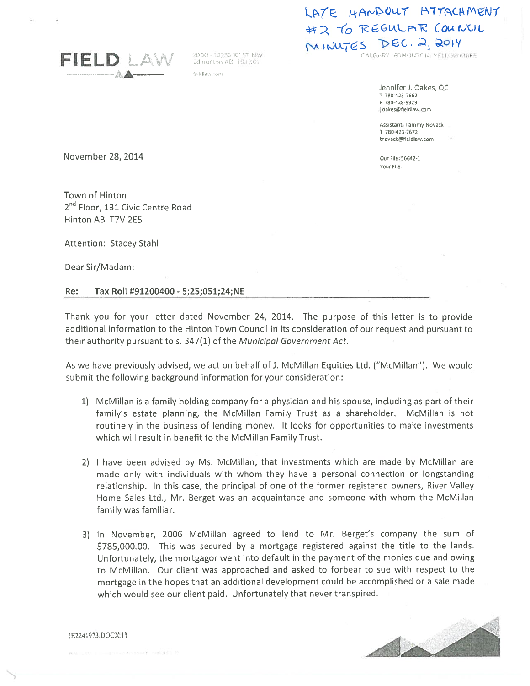

fieldlaw.com

## LATE HANDOUT HITACHMENT #2 TO REGULAR COUNCIL MINUTES DEC. 2, 2014

Jennifer J. Oakes, QC T 780-423-7662 F 780-428-9329 jjoakes@fielcllaw.com

Assistant: Tammy Novack T 780-423-7672 tnovack@fleldlaw.com

Your File:

November 28, 2014 **Our File: 56642-1** 

Town of Hinton 2<sup>nd</sup> Floor, 131 Civic Centre Road Hinton AB T7V 2E5

Attention: Stacey Stahl

Dear Sir/Madam:

## Re: Tax Roll #91200400 - 5;25;051;24;NE

Thank you for your letter dated November 24, 2014. The purpose of this letter is to provide additional information to the Hinton Town Council in its consideration of our reques<sup>t</sup> and pursuan<sup>t</sup> to their authority pursuant to s. 347(1) of the Municipal Government Act.

As we have previously advised, we act on behalf of J. McMillan Equities Ltd. ("McMillan"). We would submit the following background information for your consideration:

- 1) McMillan is <sup>a</sup> family holding company for <sup>a</sup> physician and his spouse, including as par<sup>t</sup> of their family's estate planning, the McMillan Family Trust as <sup>a</sup> shareholder. McMillan is not routinely in the business of lending money. It looks for opportunities to make investments which will result in benefit to the McMillan Family Trust.
- 2) <sup>I</sup> have been advised by Ms. McMillan, that investments which are made by McMillan are made only with individuals with whom they have <sup>a</sup> personal connection or longstanding relationship. In this case, the principal of one of the former registered owners, River Valley Home Sales Ltd., Mr. Berget was an acquaintance and someone with whom the McMillan family was familiar.
- 3) In November, <sup>2006</sup> McMiIlan agree<sup>d</sup> to lend to Mr. Berget's company the sum of \$785,000.00. This was secured by <sup>a</sup> mortgage registered against the title to the lands. Unfortunately, the mortgagor went into default in the paymen<sup>t</sup> of the monies due and owing to McMillan. Our client was approached and asked to forbear to sue with respec<sup>t</sup> to the mortgage in the hopes that an additional development could be accomplished or <sup>a</sup> sale made which would see our client paid. Unfortunately that never transpired.



F224I973 DOCX I)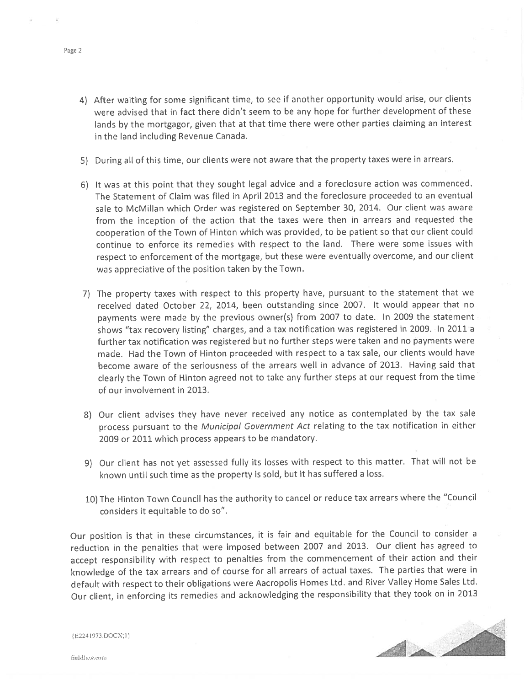- 4) After waiting for some significant time, to see if another opportunity would arise, our clients were advised that in fact there didn't seem to be any hope for further development of these lands by the mortgagor, <sup>g</sup>iven that at that time there were other parties claiming an interest in the land including Revenue Canada.
- 5) During all of this time, our clients were not aware that the property taxes were in arrears.
- 6) It was at this point that they sought legal advice and <sup>a</sup> foreclosure action was commenced. The Statement of Claim was filed in April 2013 and the foreclosure proceeded to an eventual sale to McMillan which Order was registered on September 30, 2014. Our client was aware from the inception of the action that the taxes were then in arrears and requested the cooperation of the Town of Hinton which was provided, to be patient so that our client could continue to enforce its remedies with respec<sup>t</sup> to the land. There were some issues with respec<sup>t</sup> to enforcement of the mortgage, but these were eventually overcome, and our client was appreciative of the position taken by the Town.
- 7) The property taxes with respec<sup>t</sup> to this property have, pursuan<sup>t</sup> to the statement that we received dated October 22, 2014, been outstanding since 2007. It would appear that no payments were made by the previous owner(s) from <sup>2007</sup> to date. In <sup>2009</sup> the statement shows "tax recovery listing" charges, and <sup>a</sup> tax notification was registered in 2009. In <sup>2011</sup> <sup>a</sup> further tax notification was registered but no further steps were taken and no payments were made. Had the Town of Hinton proceeded with respec<sup>t</sup> to <sup>a</sup> tax sale, our clients would have become aware of the seriousness of the arrears well in advance of 2013. Having said that clearly the Town of Hinton agree<sup>d</sup> not to take any further steps at our reques<sup>t</sup> from the time of our involvement in 2013.
- 8) Our client advises they have never received any notice as contemplated by the tax sale process pursuan<sup>t</sup> to the Municipal Government Act relating to the tax notification in either 2009 or 2011 which process appears to be mandatory.
- 9) Our client has not ye<sup>t</sup> assessed fully its losses with respec<sup>t</sup> to this matter. That will not be known until such time as the property is sold, but it has suffered <sup>a</sup> loss.
- 10) The Hinton Town Council has the authority to cancel or reduce tax arrears where the "Council considers it equitable to do so".

Our position is that in these circumstances, it is fair and equitable for the Council to consider <sup>a</sup> reduction in the penalties that were imposed between <sup>2007</sup> and 2013. Our client has agree<sup>d</sup> to accep<sup>t</sup> responsibility with respec<sup>t</sup> to penalties from the commencement of their action and their knowledge of the tax arrears and of course for all arrears of actual taxes. The parties that were in default with respec<sup>t</sup> to their obligations were Aacropolis Homes Ltd. and River Valley Home Sales Ltd. Our client, in enforcing its remedies and acknowledging the responsibility that they took on in <sup>2013</sup>



Page 2

{E224I73.DOCX;1)

fieldlaw.com